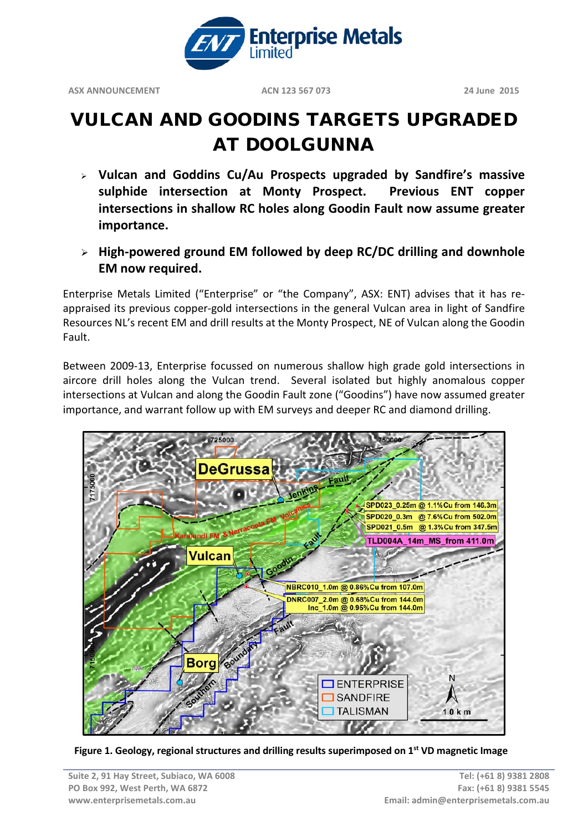

# VULCAN AND GOODINS TARGETS UPGRADED AT DOOLGUNNA

- **Vulcan and Goddins Cu/Au Prospects upgraded by Sandfire's massive sulphide intersection at Monty Prospect. Previous ENT copper intersections in shallow RC holes along Goodin Fault now assume greater importance.**
- **High-powered ground EM followed by deep RC/DC drilling and downhole EM now required.**

Enterprise Metals Limited ("Enterprise" or "the Company", ASX: ENT) advises that it has reappraised its previous copper-gold intersections in the general Vulcan area in light of Sandfire Resources NL's recent EM and drill results at the Monty Prospect, NE of Vulcan along the Goodin Fault.

Between 2009-13, Enterprise focussed on numerous shallow high grade gold intersections in aircore drill holes along the Vulcan trend. Several isolated but highly anomalous copper intersections at Vulcan and along the Goodin Fault zone ("Goodins") have now assumed greater importance, and warrant follow up with EM surveys and deeper RC and diamond drilling.



**Figure 1. Geology, regional structures and drilling results superimposed on 1st VD magnetic Image**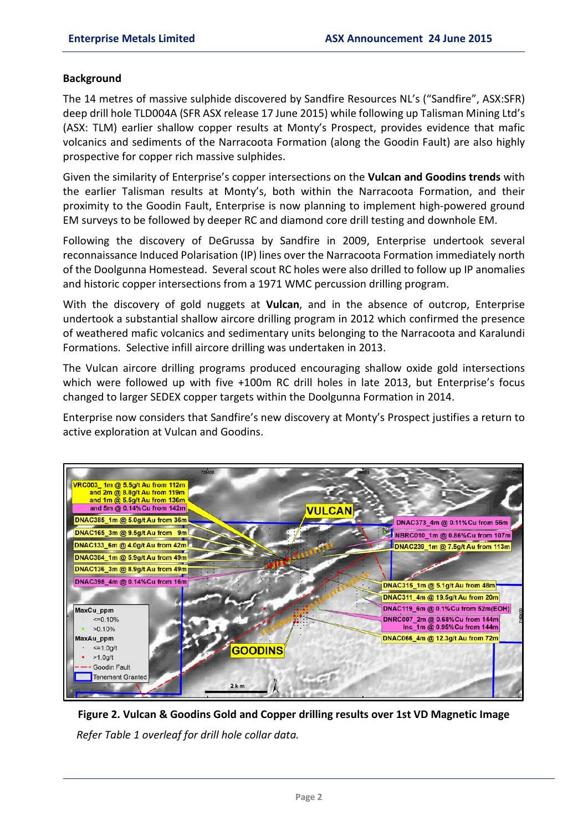#### **Background**

The 14 metres of massive sulphide discovered by Sandfire Resources NL's ("Sandfire", ASX:SFR) deep drill hole TLD004A (SFR ASX release 17 June 2015) while following up Talisman Mining Ltd's (ASX: TLM) earlier shallow copper results at Monty's Prospect, provides evidence that mafic volcanics and sediments of the Narracoota Formation (along the Goodin Fault) are also highly prospective for copper rich massive sulphides.

Given the similarity of Enterprise's copper intersections on the **Vulcan and Goodins trends** with the earlier Talisman results at Monty's, both within the Narracoota Formation, and their proximity to the Goodin Fault, Enterprise is now planning to implement high-powered ground EM surveys to be followed by deeper RC and diamond core drill testing and downhole EM.

Following the discovery of DeGrussa by Sandfire in 2009, Enterprise undertook several reconnaissance Induced Polarisation (IP) lines over the Narracoota Formation immediately north of the Doolgunna Homestead. Several scout RC holes were also drilled to follow up IP anomalies and historic copper intersections from a 1971 WMC percussion drilling program.

With the discovery of gold nuggets at **Vulcan**, and in the absence of outcrop, Enterprise undertook a substantial shallow aircore drilling program in 2012 which confirmed the presence of weathered mafic volcanics and sedimentary units belonging to the Narracoota and Karalundi Formations. Selective infill aircore drilling was undertaken in 2013.

The Vulcan aircore drilling programs produced encouraging shallow oxide gold intersections which were followed up with five +100m RC drill holes in late 2013, but Enterprise's focus changed to larger SEDEX copper targets within the Doolgunna Formation in 2014.

Enterprise now considers that Sandfire's new discovery at Monty's Prospect justifies a return to active exploration at Vulcan and Goodins.



**Figure 2. Vulcan & Goodins Gold and Copper drilling results over 1st VD Magnetic Image**  *Refer Table 1 overleaf for drill hole collar data.*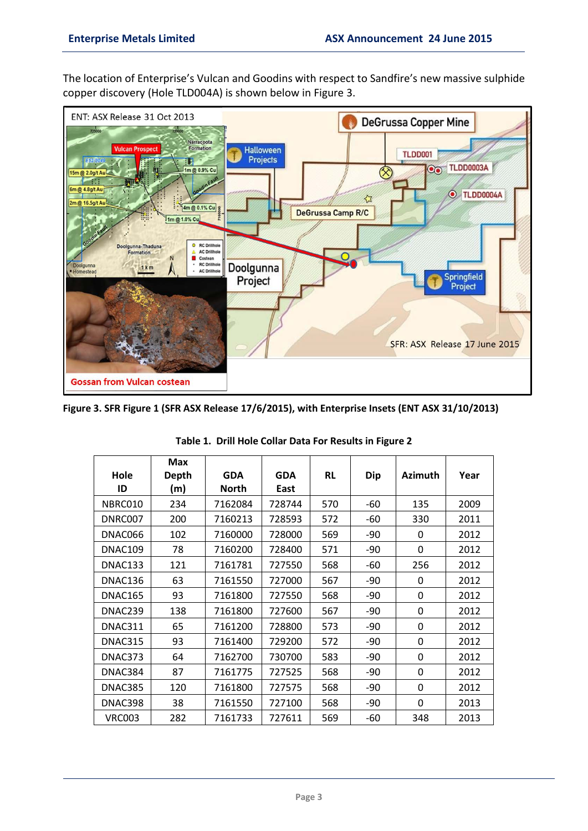The location of Enterprise's Vulcan and Goodins with respect to Sandfire's new massive sulphide copper discovery (Hole TLD004A) is shown below in Figure 3.



**Figure 3. SFR Figure 1 (SFR ASX Release 17/6/2015), with Enterprise Insets (ENT ASX 31/10/2013)**

|                | <b>Max</b>   |              |            |           |       |                |      |
|----------------|--------------|--------------|------------|-----------|-------|----------------|------|
| Hole           | <b>Depth</b> | <b>GDA</b>   | <b>GDA</b> | <b>RL</b> | Dip   | <b>Azimuth</b> | Year |
| ID             | (m)          | <b>North</b> | East       |           |       |                |      |
| NBRC010        | 234          | 7162084      | 728744     | 570       | -60   | 135            | 2009 |
| DNRC007        | 200          | 7160213      | 728593     | 572       | -60   | 330            | 2011 |
| DNAC066        | 102          | 7160000      | 728000     | 569       | -90   | 0              | 2012 |
| DNAC109        | 78           | 7160200      | 728400     | 571       | -90   | $\Omega$       | 2012 |
| DNAC133        | 121          | 7161781      | 727550     | 568       | -60   | 256            | 2012 |
| DNAC136        | 63           | 7161550      | 727000     | 567       | $-90$ | 0              | 2012 |
| <b>DNAC165</b> | 93           | 7161800      | 727550     | 568       | $-90$ | $\Omega$       | 2012 |
| DNAC239        | 138          | 7161800      | 727600     | 567       | -90   | $\Omega$       | 2012 |
| DNAC311        | 65           | 7161200      | 728800     | 573       | $-90$ | 0              | 2012 |
| DNAC315        | 93           | 7161400      | 729200     | 572       | $-90$ | $\Omega$       | 2012 |
| DNAC373        | 64           | 7162700      | 730700     | 583       | $-90$ | 0              | 2012 |
| DNAC384        | 87           | 7161775      | 727525     | 568       | $-90$ | $\Omega$       | 2012 |
| DNAC385        | 120          | 7161800      | 727575     | 568       | $-90$ | $\Omega$       | 2012 |
| DNAC398        | 38           | 7161550      | 727100     | 568       | -90   | $\Omega$       | 2013 |
| <b>VRC003</b>  | 282          | 7161733      | 727611     | 569       | $-60$ | 348            | 2013 |

#### **Table 1. Drill Hole Collar Data For Results in Figure 2**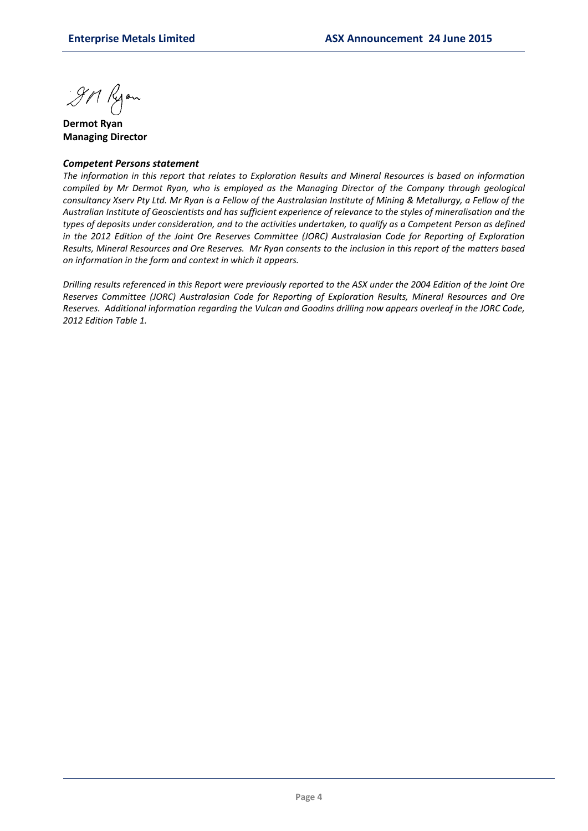9M Ryon

**Dermot Ryan Managing Director**

#### *Competent Persons statement*

*The information in this report that relates to Exploration Results and Mineral Resources is based on information compiled by Mr Dermot Ryan, who is employed as the Managing Director of the Company through geological consultancy Xserv Pty Ltd. Mr Ryan is a Fellow of the Australasian Institute of Mining & Metallurgy, a Fellow of the Australian Institute of Geoscientists and has sufficient experience of relevance to the styles of mineralisation and the types of deposits under consideration, and to the activities undertaken, to qualify as a Competent Person as defined in the 2012 Edition of the Joint Ore Reserves Committee (JORC) Australasian Code for Reporting of Exploration Results, Mineral Resources and Ore Reserves. Mr Ryan consents to the inclusion in this report of the matters based on information in the form and context in which it appears.*

*Drilling results referenced in this Report were previously reported to the ASX under the 2004 Edition of the Joint Ore Reserves Committee (JORC) Australasian Code for Reporting of Exploration Results, Mineral Resources and Ore Reserves. Additional information regarding the Vulcan and Goodins drilling now appears overleaf in the JORC Code, 2012 Edition Table 1.*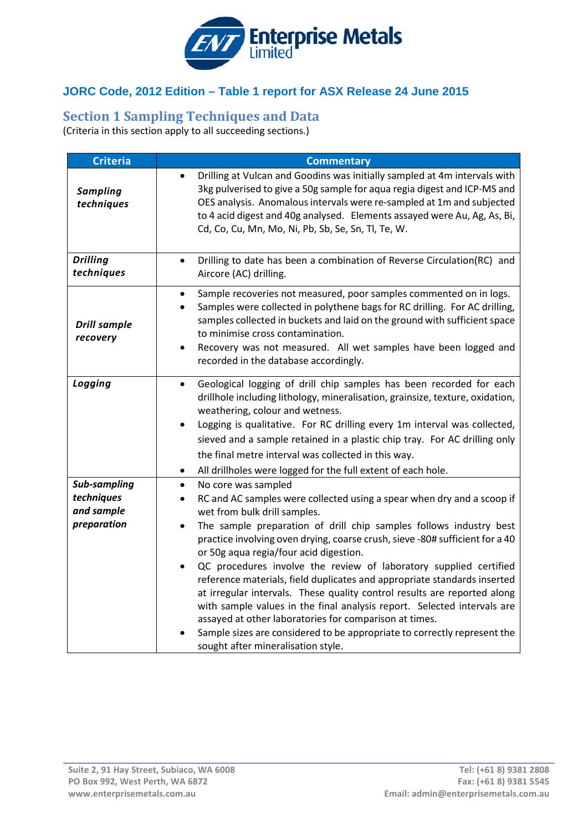

## **JORC Code, 2012 Edition – Table 1 report for ASX Release 24 June 2015**

## **Section 1 Sampling Techniques and Data**

(Criteria in this section apply to all succeeding sections.)

| <b>Criteria</b>                 | <b>Commentary</b>                                                                                                                                                                                                                                                                                                                                                                                                                                                                                                                                                                                                                                                                                          |
|---------------------------------|------------------------------------------------------------------------------------------------------------------------------------------------------------------------------------------------------------------------------------------------------------------------------------------------------------------------------------------------------------------------------------------------------------------------------------------------------------------------------------------------------------------------------------------------------------------------------------------------------------------------------------------------------------------------------------------------------------|
| <b>Sampling</b><br>techniques   | Drilling at Vulcan and Goodins was initially sampled at 4m intervals with<br>3kg pulverised to give a 50g sample for aqua regia digest and ICP-MS and<br>OES analysis. Anomalous intervals were re-sampled at 1m and subjected<br>to 4 acid digest and 40g analysed. Elements assayed were Au, Ag, As, Bi,<br>Cd, Co, Cu, Mn, Mo, Ni, Pb, Sb, Se, Sn, Tl, Te, W.                                                                                                                                                                                                                                                                                                                                           |
| <b>Drilling</b><br>techniques   | Drilling to date has been a combination of Reverse Circulation(RC) and<br>$\bullet$<br>Aircore (AC) drilling.                                                                                                                                                                                                                                                                                                                                                                                                                                                                                                                                                                                              |
| <b>Drill sample</b><br>recovery | Sample recoveries not measured, poor samples commented on in logs.<br>$\bullet$<br>Samples were collected in polythene bags for RC drilling. For AC drilling,<br>$\bullet$<br>samples collected in buckets and laid on the ground with sufficient space<br>to minimise cross contamination.<br>Recovery was not measured. All wet samples have been logged and<br>$\bullet$<br>recorded in the database accordingly.                                                                                                                                                                                                                                                                                       |
| Logging                         | Geological logging of drill chip samples has been recorded for each<br>$\bullet$<br>drillhole including lithology, mineralisation, grainsize, texture, oxidation,<br>weathering, colour and wetness.<br>Logging is qualitative. For RC drilling every 1m interval was collected,<br>$\bullet$<br>sieved and a sample retained in a plastic chip tray. For AC drilling only<br>the final metre interval was collected in this way.<br>All drillholes were logged for the full extent of each hole.<br>$\bullet$                                                                                                                                                                                             |
| Sub-sampling                    | No core was sampled<br>$\bullet$                                                                                                                                                                                                                                                                                                                                                                                                                                                                                                                                                                                                                                                                           |
| techniques<br>and sample        | RC and AC samples were collected using a spear when dry and a scoop if<br>$\bullet$<br>wet from bulk drill samples.                                                                                                                                                                                                                                                                                                                                                                                                                                                                                                                                                                                        |
| preparation                     | The sample preparation of drill chip samples follows industry best<br>$\bullet$<br>practice involving oven drying, coarse crush, sieve -80# sufficient for a 40<br>or 50g aqua regia/four acid digestion.<br>QC procedures involve the review of laboratory supplied certified<br>$\bullet$<br>reference materials, field duplicates and appropriate standards inserted<br>at irregular intervals. These quality control results are reported along<br>with sample values in the final analysis report. Selected intervals are<br>assayed at other laboratories for comparison at times.<br>Sample sizes are considered to be appropriate to correctly represent the<br>sought after mineralisation style. |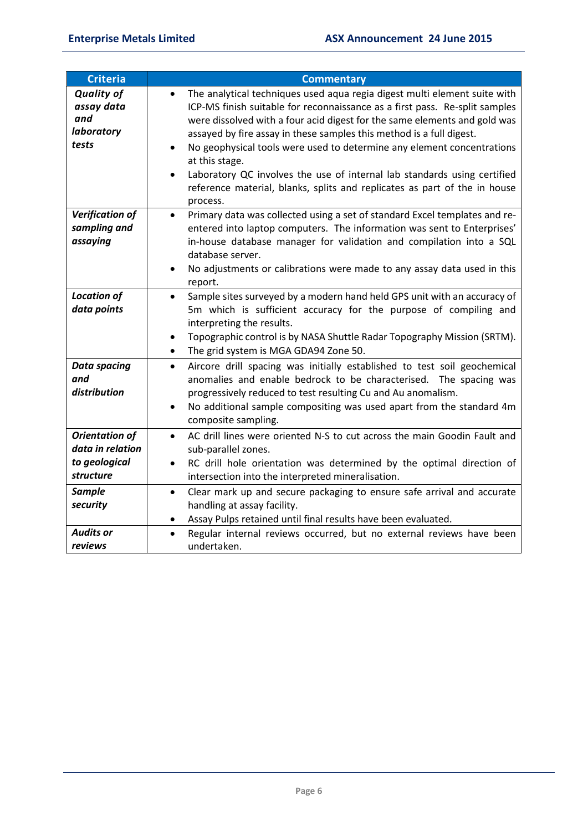| Criteria                                                                | <b>Commentary</b>                                                                                                                                                                                                                                                                                                                                                                                                                                                                                                                                                                                        |
|-------------------------------------------------------------------------|----------------------------------------------------------------------------------------------------------------------------------------------------------------------------------------------------------------------------------------------------------------------------------------------------------------------------------------------------------------------------------------------------------------------------------------------------------------------------------------------------------------------------------------------------------------------------------------------------------|
| <b>Quality of</b><br>assay data<br>and<br>laboratory<br>tests           | The analytical techniques used aqua regia digest multi element suite with<br>$\bullet$<br>ICP-MS finish suitable for reconnaissance as a first pass. Re-split samples<br>were dissolved with a four acid digest for the same elements and gold was<br>assayed by fire assay in these samples this method is a full digest.<br>No geophysical tools were used to determine any element concentrations<br>at this stage.<br>Laboratory QC involves the use of internal lab standards using certified<br>$\bullet$<br>reference material, blanks, splits and replicates as part of the in house<br>process. |
| <b>Verification of</b><br>sampling and<br>assaying                      | Primary data was collected using a set of standard Excel templates and re-<br>$\bullet$<br>entered into laptop computers. The information was sent to Enterprises'<br>in-house database manager for validation and compilation into a SQL<br>database server.<br>No adjustments or calibrations were made to any assay data used in this<br>report.                                                                                                                                                                                                                                                      |
| <b>Location of</b><br>data points                                       | Sample sites surveyed by a modern hand held GPS unit with an accuracy of<br>$\bullet$<br>5m which is sufficient accuracy for the purpose of compiling and<br>interpreting the results.<br>Topographic control is by NASA Shuttle Radar Topography Mission (SRTM).<br>$\bullet$<br>The grid system is MGA GDA94 Zone 50.<br>$\bullet$                                                                                                                                                                                                                                                                     |
| <b>Data spacing</b><br>and<br>distribution                              | Aircore drill spacing was initially established to test soil geochemical<br>$\bullet$<br>anomalies and enable bedrock to be characterised. The spacing was<br>progressively reduced to test resulting Cu and Au anomalism.<br>No additional sample compositing was used apart from the standard 4m<br>$\bullet$<br>composite sampling.                                                                                                                                                                                                                                                                   |
| <b>Orientation of</b><br>data in relation<br>to geological<br>structure | AC drill lines were oriented N-S to cut across the main Goodin Fault and<br>$\bullet$<br>sub-parallel zones.<br>RC drill hole orientation was determined by the optimal direction of<br>intersection into the interpreted mineralisation.                                                                                                                                                                                                                                                                                                                                                                |
| <b>Sample</b><br>security                                               | Clear mark up and secure packaging to ensure safe arrival and accurate<br>$\bullet$<br>handling at assay facility.<br>Assay Pulps retained until final results have been evaluated.                                                                                                                                                                                                                                                                                                                                                                                                                      |
| <b>Audits or</b><br>reviews                                             | Regular internal reviews occurred, but no external reviews have been<br>undertaken.                                                                                                                                                                                                                                                                                                                                                                                                                                                                                                                      |